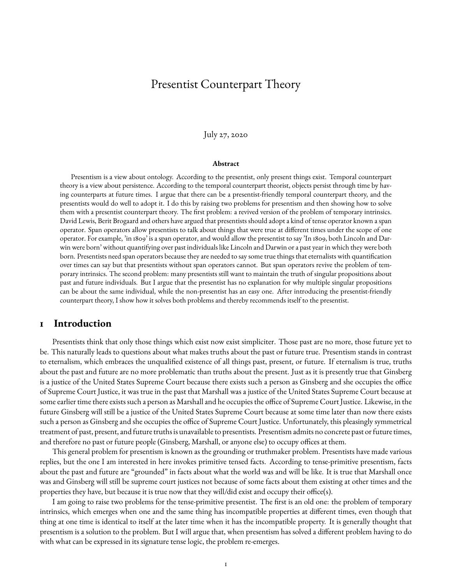# <span id="page-0-0"></span>Presentist Counterpart Theory

#### July 27, 2020

#### **Abstract**

Presentism is a view about ontology. According to the presentist, only present things exist. Temporal counterpart theory is a view about persistence. According to the temporal counterpart theorist, objects persist through time by having counterparts at future times. I argue that there can be a presentist-friendly temporal counterpart theory, and the presentists would do well to adopt it. I do this by raising two problems for presentism and then showing how to solve them with a presentist counterpart theory. The first problem: a revived version of the problem of temporary intrinsics. David Lewis, Berit Brogaard and others have argued that presentists should adopt a kind of tense operator known a span operator. Span operators allow presentists to talk about things that were true at different times under the scope of one operator. For example, 'in 1809' is a span operator, and would allow the presentist to say 'In 1809, both Lincoln and Darwin were born' without quantifying over past individuals like Lincoln and Darwin or a past year in which they were both born. Presentists need span operators because they are needed to say some true things that eternalists with quantification over times can say but that presentists without span operators cannot. But span operators revive the problem of temporary intrinsics. The second problem: many presentists still want to maintain the truth of singular propositions about past and future individuals. But I argue that the presentist has no explanation for why multiple singular propositions can be about the same individual, while the non-presentist has an easy one. After introducing the presentist-friendly counterpart theory, I show how it solves both problems and thereby recommends itself to the presentist.

#### **1 Introduction**

Presentists think that only those things which exist now exist simpliciter. Those past are no more, those future yet to be. This naturally leads to questions about what makes truths about the past or future true. Presentism stands in contrast to eternalism, which embraces the unqualified existence of all things past, present, or future. If eternalism is true, truths about the past and future are no more problematic than truths about the present. Just as it is presently true that Ginsberg is a justice of the United States Supreme Court because there exists such a person as Ginsberg and she occupies the office of Supreme Court Justice, it was true in the past that Marshall was a justice of the United States Supreme Court because at some earlier time there exists such a person as Marshall and he occupies the office of Supreme Court Justice. Likewise, in the future Ginsberg will still be a justice of the United States Supreme Court because at some time later than now there exists such a person as Ginsberg and she occupies the office of Supreme Court Justice. Unfortunately, this pleasingly symmetrical treatment of past, present, and future truths is unavailable to presentists. Presentism admits no concrete past or future times, and therefore no past or future people (Ginsberg, Marshall, or anyone else) to occupy offices at them.

This general problem for presentism is known as the grounding or truthmaker problem. Presentists have made various replies, but the one I am interested in here invokes primitive tensed facts. According to tense-primitive presentism, facts about the past and future are "grounded" in facts about what the world was and will be like. It is true that Marshall once was and Ginsberg will still be supreme court justices not because of some facts about them existing at other times and the properties they have, but because it is true now that they will/did exist and occupy their office(s).

I am going to raise two problems for the tense-primitive presentist. The first is an old one: the problem of temporary intrinsics, which emerges when one and the same thing has incompatible properties at different times, even though that thing at one time is identical to itself at the later time when it has the incompatible property. It is generally thought that presentism is a solution to the problem. But I will argue that, when presentism has solved a different problem having to do with what can be expressed in its signature tense logic, the problem re-emerges.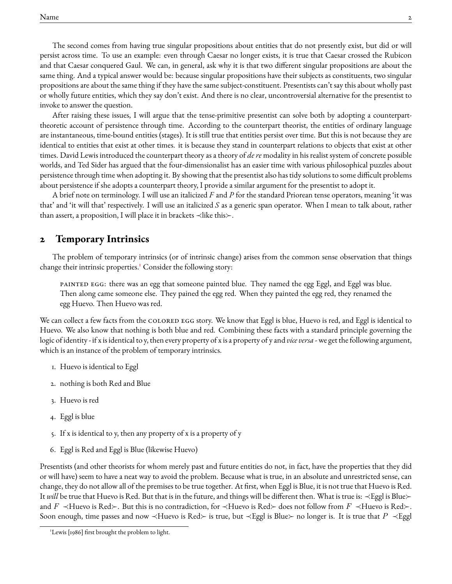The second comes from having true singular propositions about entities that do not presently exist, but did or will persist across time. To use an example: even through Caesar no longer exists, it is true that Caesar crossed the Rubicon and that Caesar conquered Gaul. We can, in general, ask why it is that two different singular propositions are about the same thing. And a typical answer would be: because singular propositions have their subjects as constituents, two singular propositions are about the same thing if they have the same subject-constituent. Presentists can't say this about wholly past or wholly future entities, which they say don't exist. And there is no clear, uncontroversial alternative for the presentist to invoke to answer the question.

After raising these issues, I will argue that the tense-primitive presentist can solve both by adopting a counterparttheoretic account of persistence through time. According to the counterpart theorist, the entities of ordinary language are instantaneous, time-bound entities (stages). It is still true that entities persist over time. But this is not because they are identical to entities that exist at other times. it is because they stand in counterpart relations to objects that exist at other times. David Lewis introduced the counterpart theory as a theory of *de re* modality in his realist system of concrete possible worlds, and Ted Sider has argued that the four-dimensionalist has an easier time with various philosophical puzzles about persistence through time when adopting it. By showing that the presentist also has tidy solutions to some difficult problems about persistence if she adopts a counterpart theory, I provide a similar argument for the presentist to adopt it.

A brief note on terminology. I will use an italicized *F* and *P* for the standard Priorean tense operators, meaning 'it was that' and 'it will that' respectively. I will use an italicized *S* as a generic span operator. When I mean to talk about, rather than assert, a proposition, I will place it in brackets  $\prec$ like this. $\succ$ .

# **2 Temporary Intrinsics**

The problem of temporary intrinsics (or of intrinsic change) arises from the common sense observation that things change their intrinsic properties.<sup>[1](#page-0-0)</sup> Consider the following story:

painted egg: there was an egg that someone painted blue. They named the egg Eggl, and Eggl was blue. Then along came someone else. They pained the egg red. When they painted the egg red, they renamed the egg Huevo. Then Huevo was red.

We can collect a few facts from the COLORED EGG story. We know that Eggl is blue, Huevo is red, and Eggl is identical to Huevo. We also know that nothing is both blue and red. Combining these facts with a standard principle governing the logic of identity - if x is identical to y, then every property of x is a property of y and *vice versa* - we get the following argument, which is an instance of the problem of temporary intrinsics.

- 1. Huevo is identical to Eggl
- 2. nothing is both Red and Blue
- 3. Huevo is red
- 4. Eggl is blue
- 5. If x is identical to y, then any property of x is a property of y
- 6. Eggl is Red and Eggl is Blue (likewise Huevo)

Presentists (and other theorists for whom merely past and future entities do not, in fact, have the properties that they did or will have) seem to have a neat way to avoid the problem. Because what is true, in an absolute and unrestricted sense, can change, they do not allow all of the premises to be true together. At first, when Eggl is Blue, it is not true that Huevo is Red. It *will* be true that Huevo is Red. But that is in the future, and things will be different then. What is true is: ≺Eggl is Blue≻ and F  $\prec$ Huevo is Red $\succ$ . But this is no contradiction, for  $\prec$ Huevo is Red $\succ$  does not follow from F  $\prec$ Huevo is Red $\succ$ . Soon enough, time passes and now  $\prec$ Huevo is Red≻ is true, but  $\prec$ Eggl is Blue≻ no longer is. It is true that  $P \prec$ Eggl

<sup>&</sup>lt;sup>1</sup>Lewis [1986] first brought the problem to light.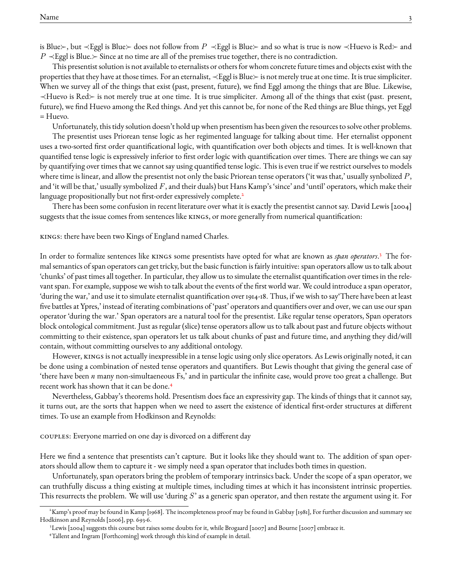is Blue≻, but ≺Eggl is Blue≻ does not follow from  $P \prec$ Eggl is Blue≻ and so what is true is now ≺Huevo is Red≻ and  $P \prec$ Eggl is Blue.≻ Since at no time are all of the premises true together, there is no contradiction.

This presentist solution is not available to eternalists or others for whom concrete future times and objects exist with the properties that they have at those times. For an eternalist, ≺Eggl is Blue≻ is not merely true at one time. It is true simpliciter. When we survey all of the things that exist (past, present, future), we find Eggl among the things that are Blue. Likewise, ≺Huevo is Red≻ is not merely true at one time. It is true simpliciter. Among all of the things that exist (past. present, future), we find Huevo among the Red things. And yet this cannot be, for none of the Red things are Blue things, yet Eggl = Huevo.

Unfortunately, this tidy solution doesn't hold up when presentism has been given the resources to solve other problems.

The presentist uses Priorean tense logic as her regimented language for talking about time. Her eternalist opponent uses a two-sorted first order quantificational logic, with quantification over both objects and times. It is well-known that quantified tense logic is expressively inferior to first order logic with quantification over times. There are things we can say by quantifying over times that we cannot say using quantified tense logic. This is even true if we restrict ourselves to models where time is linear, and allow the presentist not only the basic Priorean tense operators ('it was that,' usually synbolized  $P$ , and 'it will be that,' usually symbolized  $F$ , and their duals) but Hans Kamp's 'since' and 'until' operators, which make their language propositionally but not first-order expressively complete.<sup>[2](#page-0-0)</sup>

There has been some confusion in recent literature over what it is exactly the presentist cannot say. David Lewis [2004] suggests that the issue comes from sentences like KINGS, or more generally from numerical quantification:

kings: there have been two Kings of England named Charles.

In order to formalize sentences like kings some presentists have opted for what are known as *span operators*. [3](#page-0-0) The formal semantics of span operators can get tricky, but the basic function is fairly intuitive: span operators allow us to talk about 'chunks' of past times all together. In particular, they allow us to simulate the eternalist quantification over times in the relevant span. For example, suppose we wish to talk about the events of the first world war. We could introduce a span operator, 'during the war,' and use it to simulate eternalist quantification over 1914-18. Thus, if we wish to say'There have been at least five battles at Ypres,' instead of iterating combinations of 'past' operators and quantifiers over and over, we can use our span operator 'during the war.' Span operators are a natural tool for the presentist. Like regular tense operators, Span operators block ontological commitment. Just as regular (slice) tense operators allow us to talk about past and future objects without committing to their existence, span operators let us talk about chunks of past and future time, and anything they did/will contain, without committing ourselves to any additional ontology.

However, kings is not actually inexpressible in a tense logic using only slice operators. As Lewis originally noted, it can be done using a combination of nested tense operators and quantifiers. But Lewis thought that giving the general case of 'there have been *n* many non-simultaeneous Fs,' and in particular the infinite case, would prove too great a challenge. But recent work has shown that it can be done.[4](#page-0-0)

Nevertheless, Gabbay's theorems hold. Presentism does face an expressivity gap. The kinds of things that it cannot say, it turns out, are the sorts that happen when we need to assert the existence of identical first-order structures at different times. To use an example from Hodkinson and Reynolds:

couples: Everyone married on one day is divorced on a different day

Here we find a sentence that presentists can't capture. But it looks like they should want to. The addition of span operators should allow them to capture it - we simply need a span operator that includes both times in question.

Unfortunately, span operators bring the problem of temporary intrinsics back. Under the scope of a span operator, we can truthfully discuss a thing existing at multiple times, including times at which it has inconsistent intrinsic properties. This resurrects the problem. We will use 'during S' as a generic span operator, and then restate the argument using it. For

<sup>2</sup>Kamp's proof may be found in Kamp [1968]. The incompleteness proof may be found in Gabbay [1981], For further discussion and summary see Hodkinson and Reynolds [2006], pp. 693-6.

<sup>3</sup>Lewis [2004] suggests this course but raises some doubts for it, while Brogaard [2007] and Bourne [2007] embrace it.

<sup>4</sup>Tallent and Ingram [Forthcoming] work through this kind of example in detail.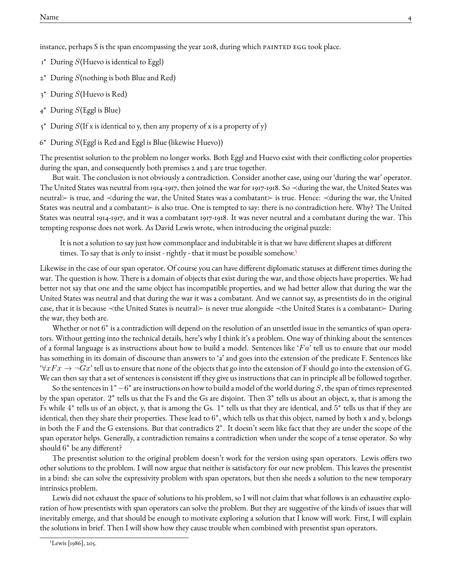instance, perhaps S is the span encompassing the year 2018, during which painted egg took place.

- $1^*$  During S(Huevo is identical to Eggl)
- $2^*$  During S(nothing is both Blue and Red)
- $3^*$  During S(Huevo is Red)
- $4^*$  During  $S(\text{Egg}|\text{ is Blue})$
- $5^*$  During S(If x is identical to y, then any property of x is a property of y)
- $6^*$  During  $S(\text{Eggl})$  is Red and Eggl is Blue (likewise Huevo))

The presentist solution to the problem no longer works. Both Eggl and Huevo exist with their conflicting color properties during the span, and consequently both premises 2 and 3 are true together.

But wait. The conclusion is not obviously a contradiction. Consider another case, using our 'during the war' operator. The United States was neutral from 1914-1917, then joined the war for 1917-1918. So ≺during the war, the United States was neutral≻ is true, and ≺during the war, the United States was a combatant≻ is true. Hence: ≺during the war, the United States was neutral and a combatant $\succ$  is also true. One is tempted to say: there is no contradiction here. Why? The United States was neutral 1914-1917, and it was a combatant 1917-1918. It was never neutral and a combatant during the war. This tempting response does not work. As David Lewis wrote, when introducing the original puzzle:

It is not a solution to say just how commonplace and indubitable it is that we have different shapes at different times. To say that is only to insist - rightly - that it must be possible somehow.<sup>[5](#page-0-0)</sup>

Likewise in the case of our span operator. Of course you can have different diplomatic statuses at different times during the war. The question is how. There is a domain of objects that exist during the war, and those objects have properties. We had better not say that one and the same object has incompatible properties, and we had better allow that during the war the United States was neutral and that during the war it was a combatant. And we cannot say, as presentists do in the original case, that it is because ≺the United States is neutral≻ is never true alongside ≺the United States is a combatant≻ During the war, they both are.

Whether or not 6<sup>\*</sup> is a contradiction will depend on the resolution of an unsettled issue in the semantics of span operators. Without getting into the technical details, here's why I think it's a problem. One way of thinking about the sentences of a formal language is as instructions about how to build a model. Sentences like ' $Fa$ ' tell us to ensure that our model has something in its domain of discourse than answers to 'a' and goes into the extension of the predicate F. Sentences like  $\forall xFx \rightarrow \neg Gx'$  tell us to ensure that none of the objects that go into the extension of F should go into the extension of G. We can then say that a set of sentences is consistent iff they give us instructions that can in principle all be followed together.

So the sentences in  $1^*$   $-6^*$  are instructions on how to build a model of the world during  $S$ , the span of times represented by the span operator.  $2^*$  tells us that the Fs and the Gs are disjoint. Then  $3^*$  tells us about an object, x, that is among the Fs while  $4^*$  tells us of an object, y, that is among the Gs.  $1^*$  tells us that they are identical, and  $5^*$  tells us that if they are identical, then they share their properties. These lead to  $6^*$ , which tells us that this object, named by both x and y, belongs in both the F and the G extensions. But that contradicts 2 ∗ . It doesn't seem like fact that they are under the scope of the span operator helps. Generally, a contradiction remains a contradiction when under the scope of a tense operator. So why should 6<sup>\*</sup> be any different?

The presentist solution to the original problem doesn't work for the version using span operators. Lewis offers two other solutions to the problem. I will now argue that neither is satisfactory for our new problem. This leaves the presentist in a bind: she can solve the expressivity problem with span operators, but then she needs a solution to the new temporary intrinsics problem.

Lewis did not exhaust the space of solutions to his problem, so I will not claim that what follows is an exhaustive exploration of how presentists with span operators can solve the problem. But they are suggestive of the kinds of issues that will inevitably emerge, and that should be enough to motivate exploring a solution that I know will work. First, I will explain the solutions in brief. Then I will show how they cause trouble when combined with presentist span operators.

<sup>5</sup>Lewis [1986], 205.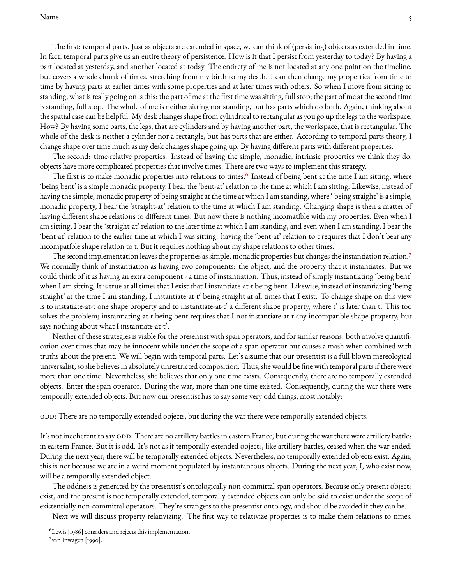The first: temporal parts. Just as objects are extended in space, we can think of (persisting) objects as extended in time. In fact, temporal parts give us an entire theory of persistence. How is it that I persist from yesterday to today? By having a part located at yesterday, and another located at today. The entirety of me is not located at any one point on the timeline, but covers a whole chunk of times, stretching from my birth to my death. I can then change my properties from time to time by having parts at earlier times with some properties and at later times with others. So when I move from sitting to standing, what is really going on is this: the part of me at the first time was sitting, full stop; the part of me at the second time is standing, full stop. The whole of me is neither sitting nor standing, but has parts which do both. Again, thinking about the spatial case can be helpful. My desk changes shape from cylindrical to rectangular as you go up the legs to the workspace. How? By having some parts, the legs, that are cylinders and by having another part, the workspace, that is rectangular. The whole of the desk is neither a cylinder nor a rectangle, but has parts that are either. According to temporal parts theory, I change shape over time much as my desk changes shape going up. By having different parts with different properties.

The second: time-relative properties. Instead of having the simple, monadic, intrinsic properties we think they do, objects have more complicated properties that involve times. There are two ways to implement this strategy.

The first is to make monadic properties into relations to times.<sup>[6](#page-0-0)</sup> Instead of being bent at the time I am sitting, where 'being bent' is a simple monadic property, I bear the 'bent-at' relation to the time at which I am sitting. Likewise, instead of having the simple, monadic property of being straight at the time at which I am standing, where ' being straight' is a simple, monadic property, I bear the 'straight-at' relation to the time at which I am standing. Changing shape is then a matter of having different shape relations to different times. But now there is nothing incomatible with my properties. Even when I am sitting, I bear the 'straight-at' relation to the later time at which I am standing, and even when I am standing, I bear the 'bent-at' relation to the earlier time at which I was sitting. having the 'bent-at' relation to t requires that I don't bear any incompatible shape relation to t. But it requires nothing about my shape relations to other times.

The second implementation leaves the properties as simple, monadic properties but changes the instantiation relation.[7](#page-0-0) We normally think of instantiation as having two components: the object, and the property that it instantiates. But we could think of it as having an extra component - a time of instantiation. Thus, instead of simply instantiating 'being bent' when I am sitting, It is true at all times that I exist that I instantiate-at-t being bent. Likewise, instead of instantiating 'being straight' at the time I am standing, I instantiate-at-t' being straight at all times that I exist. To change shape on this view is to instatiate-at-t one shape property and to instantiate-at-t $^\prime$  a different shape property, where t $^\prime$  is later than t. This too solves the problem; instantiating-at-t being bent requires that I not instantiate-at-t any incompatible shape property, but says nothing about what I instantiate-at-t'.

Neither of these strategies is viable for the presentist with span operators, and for similar reasons: both involve quantification over times that may be innocent while under the scope of a span operator but causes a mash when combined with truths about the present. We will begin with temporal parts. Let's assume that our presentist is a full blown mereological universalist, so she believes in absolutely unrestricted composition. Thus, she would be fine with temporal parts if there were more than one time. Nevertheless, she believes that only one time exists. Consequently, there are no temporally extended objects. Enter the span operator. During the war, more than one time existed. Consequently, during the war there were temporally extended objects. But now our presentist has to say some very odd things, most notably:

odd: There are no temporally extended objects, but during the war there were temporally extended objects.

It's not incoherent to say ODD. There are no artillery battles in eastern France, but during the war there were artillery battles in eastern France. But it is odd. It's not as if temporally extended objects, like artillery battles, ceased when the war ended. During the next year, there will be temporally extended objects. Nevertheless, no temporally extended objects exist. Again, this is not because we are in a weird moment populated by instantaneous objects. During the next year, I, who exist now, will be a temporally extended object.

The oddness is generated by the presentist's ontologically non-committal span operators. Because only present objects exist, and the present is not temporally extended, temporally extended objects can only be said to exist under the scope of existentially non-committal operators. They're strangers to the presentist ontology, and should be avoided if they can be.

Next we will discuss property-relativizing. The first way to relativize properties is to make them relations to times.

<sup>6</sup>Lewis [1986] considers and rejects this implementation.

<sup>&</sup>lt;sup>7</sup>van Inwagen [1990].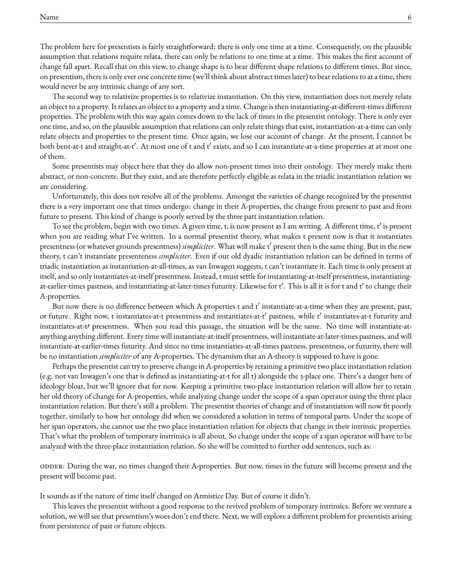The problem here for presentists is fairly straightforward: there is only one time at a time. Consequently, on the plausible assumption that relations require relata, there can only be relations to one time at a time. This makes the first account of change fall apart. Recall that on this view, to change shape is to bear different shape relations to different times. But since, on presentism, there is only ever one concrete time (we'll think about abstract times later) to bear relations to at a time, there would never be any intrinsic change of any sort.

The second way to relativize properties is to relativize instantiation. On this view, instantiation does not merely relate an object to a property. It relates an object to a property and a time. Change is then instantiating-at-different-times different properties. The problem with this way again comes down to the lack of times in the presentist ontology. There is only ever one time, and so, on the plausible assumption that relations can only relate things that exist, instantiation-at-a-time can only relate objects and properties to the present time. Once again, we lose our account of change. At the present, I cannot be both bent-at-t and straight-at-t'. At most one of t and t' exists, and so I can instantiate-at-a-time properties at at most one of them.

Some presentists may object here that they do allow non-present times into their ontology. They merely make them abstract, or non-concrete. But they exist, and are therefore perfectly eligible as relata in the triadic instantiation relation we are considering.

Unfortunately, this does not resolve all of the problems. Amongst the varieties of change recognized by the presentist there is a very important one that times undergo: change in their A-properties, the change from present to past and from future to present. This kind of change is poorly served by the three part instantiation relation.

To see the problem, begin with two times. A given time, t, is now present as I am writing. A different time,  $t'$  is present when you are reading what I've written. In a normal presentist theory, what makes t present now is that it instantiates presentness (or whatever grounds presentness) *simpliciter*. What will make t' present then is the same thing. But in the new theory, t can't instantiate presenteness *simpliciter*. Even if our old dyadic instantiation relation can be defined in terms of triadic instantiation as instantiation-at-all-times, as van Inwagen suggests, t can't instantiate it. Each time is only present at itself, and so only instantiates-at-itself presentness. Instead, t must settle for instantiating-at-itself presentness, instantiatingat-earlier-times pastness, and instantiating-at-later-times futurity. Likewise for t $\prime$ . This is all it is for t and t $\prime$  to change their A-properties.

But now there is no difference between which A properties t and  $t'$  instantiate-at-a-time when they are present, past, or future. Right now, t instantiates-at-t presentness and instantiates-at-t $^\prime$  pastness, while t $^\prime$  instantiates-at-t futurity and instantiates-at-t/ presentness. When you read this passage, the situation will be the same. No time will instantiate-atanything anything different. Every time will instantiate-at-itself presentness, will instantiate-at-later-times pastness, and will instantiate-at-earlier-times futurity. And since no time instantiaties-at-all-times pastness, presentness, or futurity, there will be no instantiation *simpliciter* of any A-properties. The dynamism that an A-theory is supposed to have is gone.

Perhaps the presentist can try to preserve change in A-properties by retaining a primitive two place instantiation relation (e.g. not van Inwagen's one that is defined as instantiating-at-t for all t) alongside the 3-place one. There's a danger here of ideology bloat, but we'll ignore that for now. Keeping a primitive two-place instantiation relation will allow her to retain her old theory of change for A-properties, while analyzing change under the scope of a span operator using the three place instantiation relation. But there's still a problem. The presentist theories of change and of instantiation will now fit poorly together, similarly to how her ontology did when we considered a solution in terms of temporal parts. Under the scope of her span operators, she cannot use the two place instantiation relation for objects that change in their intrinsic properties. That's what the problem of temporary instrinsics is all about. So change under the scope of a span operator will have to be analyzed with the three-place instantiation relation. So she will be comitted to further odd sentences, such as:

odder: During the war, no times changed their A-properties. But now, times in the future will become present and the present will become past.

It sounds as if the nature of time itself changed on Armistice Day. But of course it didn't.

This leaves the presentist without a good response to the revived problem of temporary intrinsics. Before we venture a solution, we will see that presentism's woes don't end there. Next, we will explore a different problem for presentists arising from persistence of past or future objects.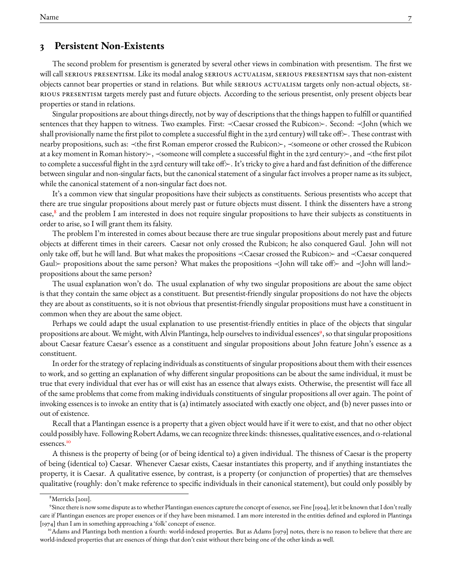### **3 Persistent Non-Existents**

The second problem for presentism is generated by several other views in combination with presentism. The first we will call serious presentism. Like its modal analog serious actualism, serious presentism says that non-existent objects cannot bear properties or stand in relations. But while SERIOUS ACTUALISM targets only non-actual objects, SErious presentism targets merely past and future objects. According to the serious presentist, only present objects bear properties or stand in relations.

Singular propositions are about things directly, not by way of descriptions that the things happen to fulfill or quantified sentences that they happen to witness. Two examples. First: ≺Caesar crossed the Rubicon≻. Second: ≺John (which we shall provisionally name the first pilot to complete a successful flight in the 23rd century) will take of  $\mathcal{F}$ . These contrast with nearby propositions, such as: ≺the first Roman emperor crossed the Rubicon≻, ≺someone or other crossed the Rubicon at a key moment in Roman history≻, ≺someone will complete a successful flight in the 23rd century≻, and ≺the first pilot to complete a successful flight in the 23rd century will take off $\succ$ . It's tricky to give a hard and fast definition of the difference between singular and non-singular facts, but the canonical statement of a singular fact involves a proper name as its subject, while the canonical statement of a non-singular fact does not.

It's a common view that singular propositions have their subjects as constituents. Serious presentists who accept that there are true singular propositions about merely past or future objects must dissent. I think the dissenters have a strong case,<sup>[8](#page-0-0)</sup> and the problem I am interested in does not require singular propositions to have their subjects as constituents in order to arise, so I will grant them its falsity.

The problem I'm interested in comes about because there are true singular propositions about merely past and future objects at different times in their careers. Caesar not only crossed the Rubicon; he also conquered Gaul. John will not only take off, but he will land. But what makes the propositions ≺Caesar crossed the Rubicon≻ and ≺Caesar conquered Gaul≻ propositions about the same person? What makes the propositions ≺John will take off≻ and ≺John will land≻ propositions about the same person?

The usual explanation won't do. The usual explanation of why two singular propositions are about the same object is that they contain the same object as a constituent. But presentist-friendly singular propositions do not have the objects they are about as constituents, so it is not obvious that presentist-friendly singular propositions must have a constituent in common when they are about the same object.

Perhaps we could adapt the usual explanation to use presentist-friendly entities in place of the objects that singular propositions are about. We might, with Alvin Plantinga, help ourselves to individual essences<sup>[9](#page-0-0)</sup>, so that singular propositions about Caesar feature Caesar's essence as a constituent and singular propositions about John feature John's essence as a constituent.

In order for the strategy of replacing individuals as constituents of singular propositions about them with their essences to work, and so getting an explanation of why different singular propositions can be about the same individual, it must be true that every individual that ever has or will exist has an essence that always exists. Otherwise, the presentist will face all of the same problems that come from making individuals constituents of singular propositions all over again. The point of invoking essences is to invoke an entity that is (a) intimately associated with exactly one object, and (b) never passes into or out of existence.

Recall that a Plantingan essence is a property that a given object would have if it were to exist, and that no other object could possibly have. Following Robert Adams, we can recognize three kinds: thisnesses, qualitative essences, and  $\alpha$ -relational essences.[10](#page-0-0)

A thisness is the property of being (or of being identical to) a given individual. The thisness of Caesar is the property of being (identical to) Caesar. Whenever Caesar exists, Caesar instantiates this property, and if anything instantiates the property, it is Caesar. A qualitative essence, by contrast, is a property (or conjunction of properties) that are themselves qualitative (roughly: don't make reference to specific individuals in their canonical statement), but could only possibly by

<sup>&</sup>lt;sup>8</sup>Merricks [2011].

<sup>9</sup> Since there is now some dispute as to whether Plantingan essences capture the concept of essence, see Fine [1994], let it be known that I don't really care if Plantingan essences are proper essences or if they have been misnamed. I am more interested in the entities defined and explored in Plantinga [1974] than I am in something approaching a 'folk' concept of essence.

<sup>&</sup>lt;sup>10</sup>Adams and Plantinga both mention a fourth: world-indexed properties. But as Adams [1979] notes, there is no reason to believe that there are world-indexed properties that are essences of things that don't exist without there being one of the other kinds as well.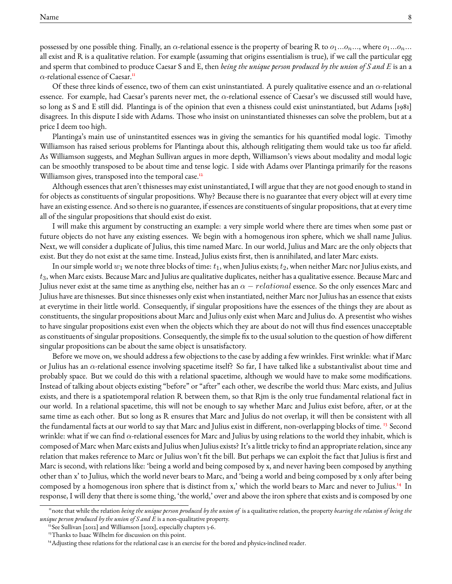possessed by one possible thing. Finally, an  $\alpha$ -relational essence is the property of bearing R to  $o_1...o_n...$ , where  $o_1...o_n...$ all exist and R is a qualitative relation. For example (assuming that origins essentialism is true), if we call the particular egg and sperm that combined to produce Caesar S and E, then *being the unique person produced by the union of S and E* is an a  $\alpha$ -relational essence of Caesar.<sup>[11](#page-0-0)</sup>

Of these three kinds of essence, two of them can exist uninstantiated. A purely qualitative essence and an  $\alpha$ -relational essence. For example, had Caesar's parents never met, the  $\alpha$ -relational essence of Caesar's we discussed still would have, so long as S and E still did. Plantinga is of the opinion that even a thisness could exist uninstantiated, but Adams [1981] disagrees. In this dispute I side with Adams. Those who insist on uninstantiated thisnesses can solve the problem, but at a price I deem too high.

Plantinga's main use of uninstantited essences was in giving the semantics for his quantified modal logic. Timothy Williamson has raised serious problems for Plantinga about this, although relitigating them would take us too far afield. As Williamson suggests, and Meghan Sullivan argues in more depth, Williamson's views about modality and modal logic can be smoothly transposed to be about time and tense logic. I side with Adams over Plantinga primarily for the reasons Williamson gives, transposed into the temporal case.<sup>[12](#page-0-0)</sup>

Although essences that aren't thisnesses may exist uninstantiated, I will argue that they are not good enough to stand in for objects as constituents of singular propositions. Why? Because there is no guarantee that every object will at every time have an existing essence. And so there is no guarantee, if essences are constituents of singular propositions, that at every time all of the singular propositions that should exist do exist.

I will make this argument by constructing an example: a very simple world where there are times when some past or future objects do not have any existing essences. We begin with a homogenous iron sphere, which we shall name Julius. Next, we will consider a duplicate of Julius, this time named Marc. In our world, Julius and Marc are the only objects that exist. But they do not exist at the same time. Instead, Julius exists first, then is annihilated, and later Marc exists.

In our simple world  $w_1$  we note three blocks of time:  $t_1$ , when Julius exists;  $t_2$ , when neither Marc nor Julius exists, and  $t_3$ , when Marc exists. Because Marc and Julius are qualitative duplicates, neither has a qualitative essence. Because Marc and Julius never exist at the same time as anything else, neither has an  $\alpha-relational$  essence. So the only essences Marc and Julius have are thisnesses. But since thisnesses only exist when instantiated, neither Marc nor Julius has an essence that exists at everytime in their little world. Consequently, if singular propositions have the essences of the things they are about as constituents, the singular propositions about Marc and Julius only exist when Marc and Julius do. A presentist who wishes to have singular propositions exist even when the objects which they are about do not will thus find essences unacceptable as constituents of singular propositions. Consequently, the simple fix to the usual solution to the question of how different singular propositions can be about the same object is unsatisfactory.

Before we move on, we should address a few objections to the case by adding a few wrinkles. First wrinkle: what if Marc or Julius has an α-relational essence involving spacetime itself? So far, I have talked like a substantivalist about time and probably space. But we could do this with a relational spacetime, although we would have to make some modifications. Instead of talking about objects existing "before" or "after" each other, we describe the world thus: Marc exists, and Julius exists, and there is a spatiotemporal relation R between them, so that Rjm is the only true fundamental relational fact in our world. In a relational spacetime, this will not be enough to say whether Marc and Julius exist before, after, or at the same time as each other. But so long as R ensures that Marc and Julius do not overlap, it will then be consistent with all the fundamental facts at our world to say that Marc and Julius exist in different, non-overlapping blocks of time. <sup>[13](#page-0-0)</sup> Second wrinkle: what if we can find  $\alpha$ -relational essences for Marc and Julius by using relations to the world they inhabit, which is composed of Marc when Marc exists and Julius when Julius exists? It's a little tricky to find an appropriate relation, since any relation that makes reference to Marc or Julius won't fit the bill. But perhaps we can exploit the fact that Julius is first and Marc is second, with relations like: 'being a world and being composed by x, and never having been composed by anything other than x' to Julius, which the world never bears to Marc, and 'being a world and being composed by x only after being composed by a homogenous iron sphere that is distinct from x,' which the world bears to Marc and never to Julius.[14](#page-0-0) In response, I will deny that there is some thing, 'the world,' over and above the iron sphere that exists and is composed by one

<sup>11</sup>note that while the relation *being the unique person produced by the union of* is a qualitative relation, the property *bearing the relation of being the unique person produced by the union of S and E* is a non-qualitative property.

<sup>&</sup>lt;sup>12</sup> See Sullivan [2012] and Williamson [201x], especially chapters 3-6.

<sup>&</sup>lt;sup>13</sup>Thanks to Isaac Wilhelm for discussion on this point.

<sup>&</sup>lt;sup>14</sup>Adjusting these relations for the relational case is an exercise for the bored and physics-inclined reader.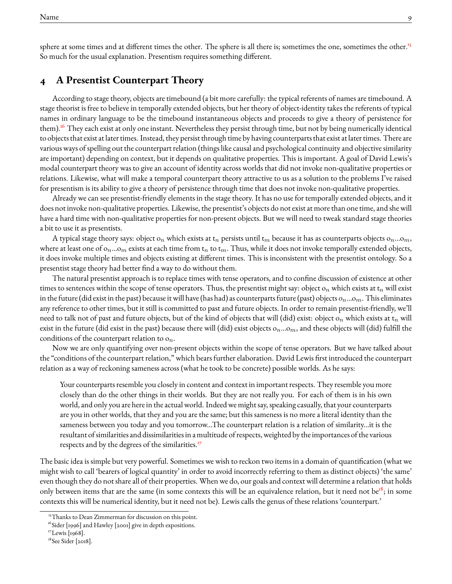sphere at some times and at different times the other. The sphere is all there is; sometimes the one, sometimes the other.<sup>[15](#page-0-0)</sup> So much for the usual explanation. Presentism requires something different.

### **4 A Presentist Counterpart Theory**

According to stage theory, objects are timebound (a bit more carefully: the typical referents of names are timebound. A stage theorist is free to believe in temporally extended objects, but her theory of object-identity takes the referents of typical names in ordinary language to be the timebound instantaneous objects and proceeds to give a theory of persistence for them).<sup>[16](#page-0-0)</sup> They each exist at only one instant. Nevertheless they persist through time, but not by being numerically identical to objects that exist at later times. Instead, they persist through time by having counterparts that exist at later times. There are various ways of spelling out the counterpart relation (things like causal and psychological continuity and objective similarity are important) depending on context, but it depends on qualitative properties. This is important. A goal of David Lewis's modal counterpart theory was to give an account of identity across worlds that did not invoke non-qualitative properties or relations. Likewise, what will make a temporal counterpart theory attractive to us as a solution to the problems I've raised for presentism is its ability to give a theory of persistence through time that does not invoke non-qualitative properties.

Already we can see presentist-friendly elements in the stage theory. It has no use for temporally extended objects, and it does not invoke non-qualitative properties. Likewise, the presentist's objects do not exist at more than one time, and she will have a hard time with non-qualitative properties for non-present objects. But we will need to tweak standard stage theories a bit to use it as presentists.

A typical stage theory says: object on which exists at  $t_n$  persists until  $t_m$  because it has as counterparts objects on...om, where at least one of  $o_n...o_m$  exists at each time from  $t_n$  to  $t_m$ . Thus, while it does not invoke temporally extended objects, it does invoke multiple times and objects existing at different times. This is inconsistent with the presentist ontology. So a presentist stage theory had better find a way to do without them.

The natural presentist approach is to replace times with tense operators, and to confine discussion of existence at other times to sentences within the scope of tense operators. Thus, the presentist might say: object  $o_n$  which exists at  $t_n$  will exist in the future (did exist in the past) because it will have (has had) as counterparts future (past) objects  $o_n...o_m$ . This eliminates any reference to other times, but it still is committed to past and future objects. In order to remain presentist-friendly, we'll need to talk not of past and future objects, but of the kind of objects that will (did) exist: object o<sub>n</sub> which exists at  $t_n$  will exist in the future (did exist in the past) because there will (did) exist objects  $o_n...o_m$ , and these objects will (did) fulfill the conditions of the counterpart relation to  $o_n$ .

Now we are only quantifying over non-present objects within the scope of tense operators. But we have talked about the "conditions of the counterpart relation," which bears further elaboration. David Lewis first introduced the counterpart relation as a way of reckoning sameness across (what he took to be concrete) possible worlds. As he says:

Your counterparts resemble you closely in content and context in important respects. They resemble you more closely than do the other things in their worlds. But they are not really you. For each of them is in his own world, and only you are here in the actual world. Indeed we might say, speaking casually, that your counterparts are you in other worlds, that they and you are the same; but this sameness is no more a literal identity than the sameness between you today and you tomorrow...The counterpart relation is a relation of similarity...it is the resultant of similarities and dissimilarities in a multitude of respects, weighted by the importances of the various respects and by the degrees of the similarities.<sup>[17](#page-0-0)</sup>

The basic idea is simple but very powerful. Sometimes we wish to reckon two items in a domain of quantification (what we might wish to call 'bearers of logical quantity' in order to avoid incorrectly referring to them as distinct objects) 'the same' even though they do not share all of their properties. When we do, our goals and context will determine a relation that holds only between items that are the same (in some contexts this will be an equivalence relation, but it need not be<sup>[18](#page-0-0)</sup>; in some contexts this will be numerical identity, but it need not be). Lewis calls the genus of these relations 'counterpart.'

<sup>&</sup>lt;sup>15</sup>Thanks to Dean Zimmerman for discussion on this point.

<sup>&</sup>lt;sup>16</sup>Sider [1996] and Hawley [2001] give in depth expositions.

<sup>&</sup>lt;sup>17</sup>Lewis [1968].

<sup>&</sup>lt;sup>18</sup>See Sider [2018].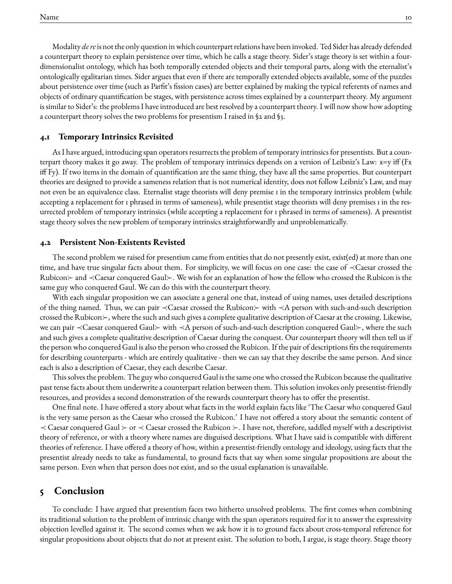Modality *de re*is not the only question in which counterpart relations have been invoked. Ted Sider has already defended a counterpart theory to explain persistence over time, which he calls a stage theory. Sider's stage theory is set within a fourdimensionalist ontology, which has both temporally extended objects and their temporal parts, along with the eternalist's ontologically egalitarian times. Sider argues that even if there are temporally extended objects available, some of the puzzles about persistence over time (such as Parfit's fission cases) are better explained by making the typical referents of names and objects of ordinary quantification be stages, with persistence across times explained by a counterpart theory. My argument is similar to Sider's: the problems I have introduced are best resolved by a counterpart theory. I will now show how adopting a counterpart theory solves the two problems for presentism I raised in §2 and §3.

#### **4.1 Temporary Intrinsics Revisited**

As I have argued, introducing span operators resurrects the problem of temporary intrinsics for presentists. But a counterpart theory makes it go away. The problem of temporary intrinsics depends on a version of Leibniz's Law:  $x=y$  iff (Fx iff Fy). If two items in the domain of quantification are the same thing, they have all the same properties. But counterpart theories are designed to provide a sameness relation that is not numerical identity, does not follow Leibniz's Law, and may not even be an equivalence class. Eternalist stage theorists will deny premise 1 in the temporary intrinsics problem (while accepting a replacement for 1 phrased in terms of sameness), while presentist stage theorists will deny premises 1 in the resurrected problem of temporary intrinsics (while accepting a replacement for 1 phrased in terms of sameness). A presentist stage theory solves the new problem of temporary intrinsics straightforwardly and unproblematically.

#### **4.2 Persistent Non-Existents Revisted**

The second problem we raised for presentism came from entities that do not presently exist, exist(ed) at more than one time, and have true singular facts about them. For simplicity, we will focus on one case: the case of ≺Caesar crossed the Rubicon≻ and  $\prec$ Caesar conquered Gaul≻. We wish for an explanation of how the fellow who crossed the Rubicon is the same guy who conquered Gaul. We can do this with the counterpart theory.

With each singular proposition we can associate a general one that, instead of using names, uses detailed descriptions of the thing named. Thus, we can pair ≺Caesar crossed the Rubicon≻ with ≺A person with such-and-such description crossed the Rubicon $\rightarrow$ , where the such and such gives a complete qualitative description of Caesar at the crossing. Likewise, we can pair ≺Caesar conquered Gaul≻ with ≺A person of such-and-such description conquered Gaul≻, where the such and such gives a complete qualitative description of Caesar during the conquest. Our counterpart theory will then tell us if the person who conquered Gaul is also the person who crossed the Rubicon. If the pair of descriptions fits the requirements for describing counterparts - which are entirely qualitative - then we can say that they describe the same person. And since each is also a description of Caesar, they each describe Caesar.

This solves the problem. The guy who conquered Gaul is the same one who crossed the Rubicon because the qualitative past tense facts about them underwrite a counterpart relation between them. This solution invokes only presentist-friendly resources, and provides a second demonstration of the rewards counterpart theory has to offer the presentist.

One final note. I have offered a story about what facts in the world explain facts like 'The Caesar who conquered Gaul is the very same person as the Caesar who crossed the Rubicon.' I have not offered a story about the semantic content of  $\prec$  Caesar conquered Gaul  $\succ$  or  $\prec$  Caesar crossed the Rubicon  $\succ$ . I have not, therefore, saddled myself with a descriptivist theory of reference, or with a theory where names are disguised descriptions. What I have said is compatible with different theories of reference. I have offered a theory of how, within a presentist-friendly ontology and ideology, using facts that the presentist already needs to take as fundamental, to ground facts that say when some singular propositions are about the same person. Even when that person does not exist, and so the usual explanation is unavailable.

### **5 Conclusion**

To conclude: I have argued that presentism faces two hitherto unsolved problems. The first comes when combining its traditional solution to the problem of intrinsic change with the span operators required for it to answer the expressivity objection levelled against it. The second comes when we ask how it is to ground facts about cross-temporal reference for singular propositions about objects that do not at present exist. The solution to both, I argue, is stage theory. Stage theory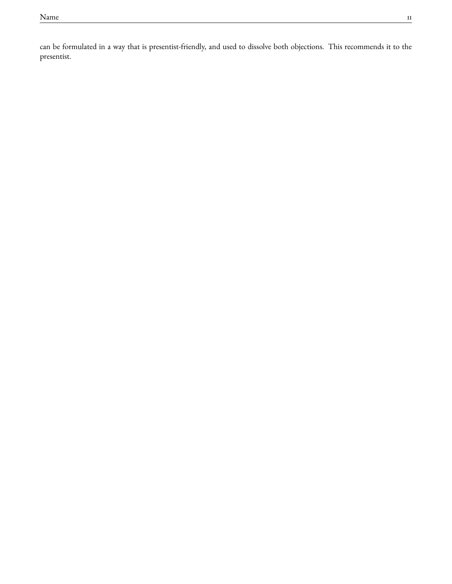can be formulated in a way that is presentist-friendly, and used to dissolve both objections. This recommends it to the presentist.